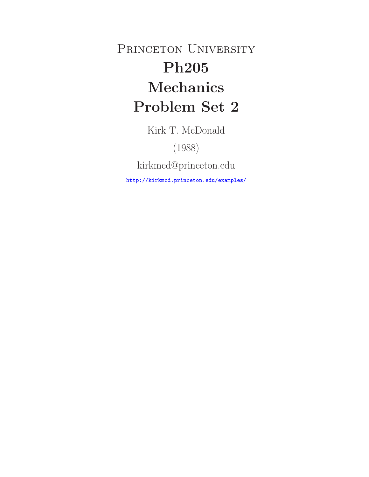PRINCETON UNIVERSITY **Ph205 Mechanics Problem Set 2**

Kirk T. McDonald

(1988)

kirkmcd@princeton.edu

http://kirkmcd.princeton.edu/examples/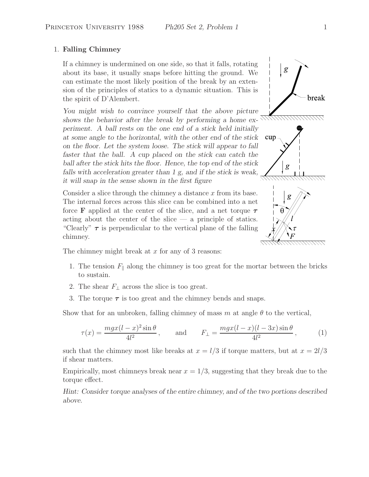## 1. **Falling Chimney**

If a chimney is undermined on one side, so that it falls, rotating about its base, it usually snaps before hitting the ground. We can estimate the most likely position of the break by an extension of the principles of statics to a dynamic situation. This is the spirit of D'Alembert.

*You might wish to convince yourself that the above picture shows the behavior after the break by performing a home experiment. A ball rests on the one end of a stick held initially at some angle to the horizontal, with the other end of the stick on the floor. Let the system loose. The stick will appear to fall faster that the ball. A cup placed on the stick can catch the ball after the stick hits the floor. Hence, the top end of the stick falls with acceleration greater than 1 g, and if the stick is weak, it will snap in the sense shown in the first figure*

Consider a slice through the chimney a distance  $x$  from its base. The internal forces across this slice can be combined into a net force **F** applied at the center of the slice, and a net torque *τ* acting about the center of the slice  $-$  a principle of statics. "Clearly" *τ* is perpendicular to the vertical plane of the falling chimney.

The chimney might break at  $x$  for any of 3 reasons:

- 1. The tension  $F_{\parallel}$  along the chimney is too great for the mortar between the bricks to sustain.
- 2. The shear  $F_{\perp}$  across the slice is too great.
- 3. The torque  $\tau$  is too great and the chimney bends and snaps.

Show that for an unbroken, falling chimney of mass m at angle  $\theta$  to the vertical,

$$
\tau(x) = \frac{mgx(l-x)^2\sin\theta}{4l^2}, \quad \text{and} \quad F_{\perp} = \frac{mgx(l-x)(l-3x)\sin\theta}{4l^2}, \quad (1)
$$

such that the chimney most like breaks at  $x = l/3$  if torque matters, but at  $x = 2l/3$ if shear matters.

Empirically, most chimneys break near  $x = 1/3$ , suggesting that they break due to the torque effect.

*Hint: Consider torque analyses of the entire chimney, and of the two portions described above.*



break



g

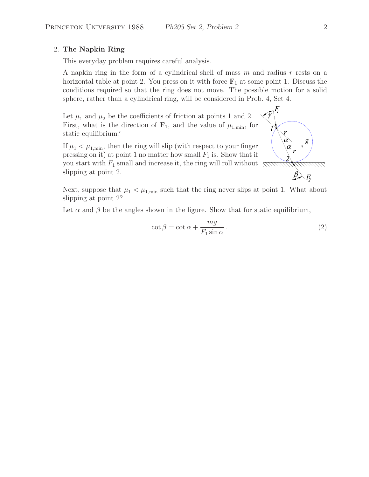## 2. **The Napkin Ring**

This everyday problem requires careful analysis.

A napkin ring in the form of a cylindrical shell of mass  $m$  and radius  $r$  rests on a horizontal table at point 2. You press on it with force  $\mathbf{F}_1$  at some point 1. Discuss the conditions required so that the ring does not move. The possible motion for a solid sphere, rather than a cylindrical ring, will be considered in Prob. 4, Set 4.

Let  $\mu_1$  and  $\mu_2$  be the coefficients of friction at points 1 and 2. First, what is the direction of  $\mathbf{F}_1$ , and the value of  $\mu_{1,\text{min}}$ , for static equilibrium?

If  $\mu_1 < \mu_{1,\text{min}}$ , then the ring will slip (with respect to your finger pressing on it) at point 1 no matter how small  $F_1$  is. Show that if you start with  $F_1$  small and increase it, the ring will roll without slipping at point 2.



Next, suppose that  $\mu_1 < \mu_{1,\text{min}}$  such that the ring never slips at point 1. What about slipping at point 2?

Let  $\alpha$  and  $\beta$  be the angles shown in the figure. Show that for static equilibrium,

$$
\cot \beta = \cot \alpha + \frac{mg}{F_1 \sin \alpha}.
$$
 (2)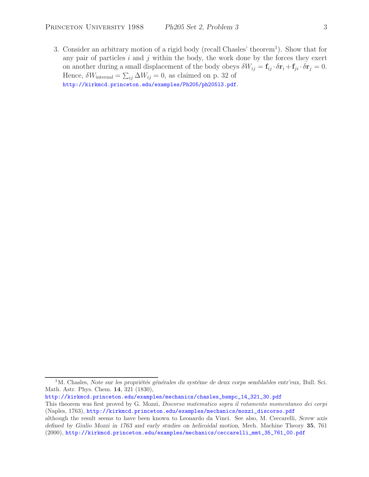3. Consider an arbitrary motion of a rigid body (recall Chasles' theorem<sup>1</sup>). Show that for any pair of particles  $i$  and  $j$  within the body, the work done by the forces they exert on another during a small displacement of the body obeys  $\delta W_{ij} = \mathbf{f}_{ij} \cdot \delta \mathbf{r}_i + \mathbf{f}_{ji} \cdot \delta \mathbf{r}_j = 0.$ Hence,  $\delta W_{\text{internal}} = \sum_{ij} \Delta W_{ij} = 0$ , as claimed on p. 32 of http://kirkmcd.princeton.edu/examples/Ph205/ph205l3.pdf.

<sup>&</sup>lt;sup>1</sup>M. Chasles, *Note sur les propriétés générales du systéme de deux corps semblables entr'eux*, Bull. Sci. Math. Astr. Phys. Chem. **14**, 321 (1830),

http://kirkmcd.princeton.edu/examples/mechanics/chasles\_bsmpc\_14\_321\_30.pdf

This theorem was first proved by G. Mozzi, *Discorso matematico sopra il rotamento momentaneo dei corpi* (Naples, 1763), http://kirkmcd.princeton.edu/examples/mechanics/mozzi\_discorso.pdf

although the result seems to have been known to Leonardo da Vinci. See also, M. Ceccarelli, *Screw axis defined by Giulio Mozzi in 1763 and early studies on helicoidal motion*, Mech. Machine Theory **35**, 761 (2000), http://kirkmcd.princeton.edu/examples/mechanics/ceccarelli\_mmt\_35\_761\_00.pdf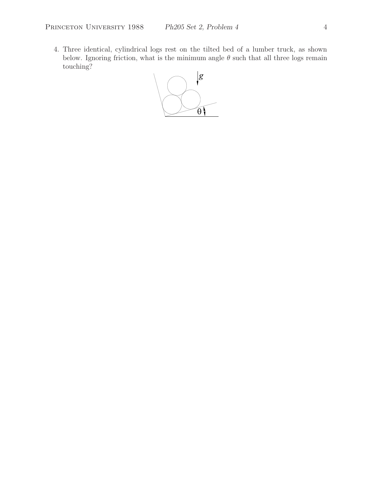4. Three identical, cylindrical logs rest on the tilted bed of a lumber truck, as shown below. Ignoring friction, what is the minimum angle  $\theta$  such that all three logs remain touching?

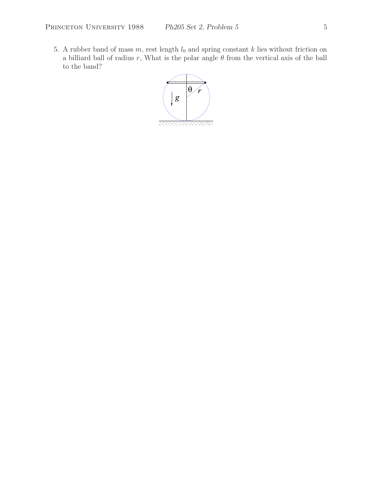5. A rubber band of mass  $m$ , rest length  $l_0$  and spring constant  $k$  lies without friction on a billiard ball of radius r, What is the polar angle  $\theta$  from the vertical axis of the ball to the band?

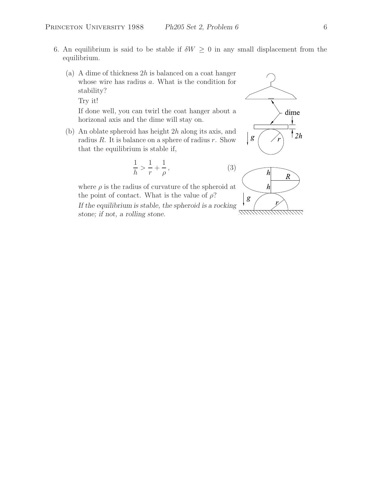- 6. An equilibrium is said to be stable if  $\delta W \geq 0$  in any small displacement from the equilibrium.
	- (a) A dime of thickness  $2h$  is balanced on a coat hanger whose wire has radius a. What is the condition for stability?

Try it!

If done well, you can twirl the coat hanger about a horizonal axis and the dime will stay on.

(b) An oblate spheroid has height 2h along its axis, and radius  $R$ . It is balance on a sphere of radius  $r$ . Show that the equilibrium is stable if,

$$
\frac{1}{h} > \frac{1}{r} + \frac{1}{\rho},\tag{3}
$$

where  $\rho$  is the radius of curvature of the spheroid at the point of contact. What is the value of  $\rho$ ? *If the equilibrium is stable, the spheroid is a rocking stone; if not, a rolling stone.*



777.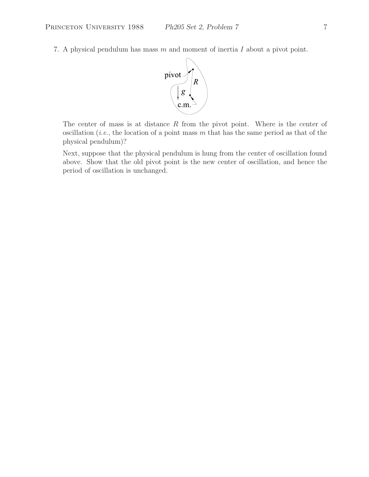7. A physical pendulum has mass m and moment of inertia I about a pivot point.



The center of mass is at distance  $R$  from the pivot point. Where is the center of oscillation (*i.e.*, the location of a point mass m that has the same period as that of the physical pendulum)?

Next, suppose that the physical pendulum is hung from the center of oscillation found above. Show that the old pivot point is the new center of oscillation, and hence the period of oscillation is unchanged.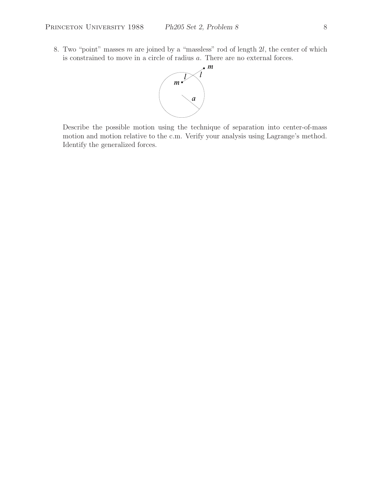8. Two "point" masses  $m$  are joined by a "massless" rod of length  $2l$ , the center of which is constrained to move in a circle of radius a. There are no external forces.



Describe the possible motion using the technique of separation into center-of-mass motion and motion relative to the c.m. Verify your analysis using Lagrange's method. Identify the generalized forces.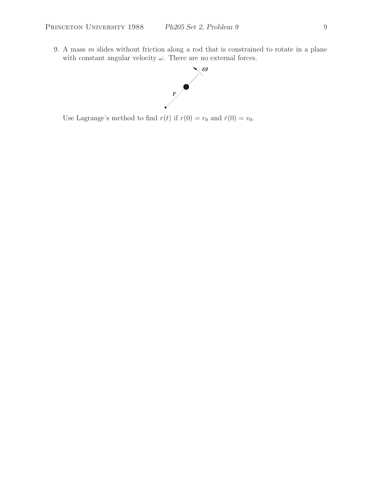9. A mass  $m$  slides without friction along a rod that is constrained to rotate in a plane with constant angular velocity  $\omega$ . There are no external forces.



Use Lagrange's method to find  $r(t)$  if  $r(0) = r_0$  and  $\dot{r}(0) = v_0$ .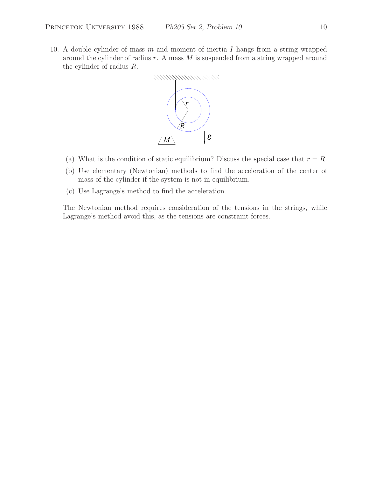10. A double cylinder of mass  $m$  and moment of inertia  $I$  hangs from a string wrapped around the cylinder of radius  $r$ . A mass  $M$  is suspended from a string wrapped around the cylinder of radius R.



- (a) What is the condition of static equilibrium? Discuss the special case that  $r = R$ .
- (b) Use elementary (Newtonian) methods to find the acceleration of the center of mass of the cylinder if the system is not in equilibrium.
- (c) Use Lagrange's method to find the acceleration.

The Newtonian method requires consideration of the tensions in the strings, while Lagrange's method avoid this, as the tensions are constraint forces.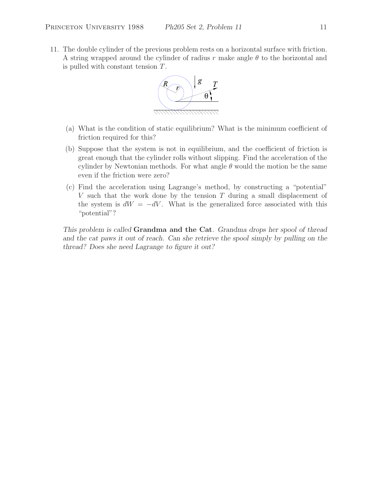11. The double cylinder of the previous problem rests on a horizontal surface with friction. A string wrapped around the cylinder of radius r make angle  $\theta$  to the horizontal and is pulled with constant tension  $T$ .



- (a) What is the condition of static equilibrium? What is the minimum coefficient of friction required for this?
- (b) Suppose that the system is not in equilibrium, and the coefficient of friction is great enough that the cylinder rolls without slipping. Find the acceleration of the cylinder by Newtonian methods. For what angle  $\theta$  would the motion be the same even if the friction were zero?
- (c) Find the acceleration using Lagrange's method, by constructing a "potential" V such that the work done by the tension  $T$  during a small displacement of the system is  $dW = -dV$ . What is the generalized force associated with this "potential"?

*This problem is called* **Grandma and the Cat***. Grandma drops her spool of thread* and the cat paws it out of reach. Can she retrieve the spool simply by pulling on the *thread? Does she need Lagrange to figure it out?*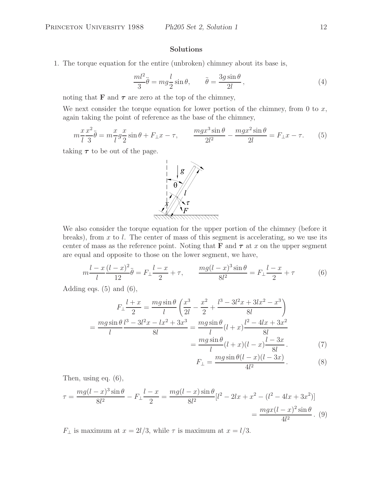## **Solutions**

1. The torque equation for the entire (unbroken) chimney about its base is,

$$
\frac{ml^2}{3}\ddot{\theta} = mg\frac{l}{2}\sin\theta, \qquad \ddot{\theta} = \frac{3g\sin\theta}{2l}, \qquad (4)
$$

noting that **F** and  $\tau$  are zero at the top of the chimney,

We next consider the torque equation for lower portion of the chimney, from 0 to  $x$ , again taking the point of reference as the base of the chimney,

$$
m\frac{x}{l}\frac{x^2}{3}\ddot{\theta} = m\frac{x}{l}g\frac{x}{2}\sin\theta + F_{\perp}x - \tau, \qquad \frac{mgx^3\sin\theta}{2l^2} - \frac{mgx^2\sin\theta}{2l} = F_{\perp}x - \tau. \tag{5}
$$

taking  $\tau$  to be out of the page.



We also consider the torque equation for the upper portion of the chimney (before it breaks), from  $x$  to  $l$ . The center of mass of this segment is accelerating, so we use its center of mass as the reference point. Noting that **F** and  $\tau$  at x on the upper segment are equal and opposite to those on the lower segment, we have,

$$
m\frac{l-x}{l}\frac{(l-x)^2}{12}\ddot{\theta} = F_{\perp}\frac{l-x}{2} + \tau, \qquad \frac{mg(l-x)^3\sin\theta}{8l^2} = F_{\perp}\frac{l-x}{2} + \tau
$$
(6)

Adding eqs.  $(5)$  and  $(6)$ ,

$$
F_{\perp} \frac{l+x}{2} = \frac{mg \sin \theta}{l} \left( \frac{x^3}{2l} - \frac{x^2}{2} + \frac{l^3 - 3l^2x + 3lx^2 - x^3}{8l} \right)
$$
  
= 
$$
\frac{mg \sin \theta l^3 - 3l^2x - lx^2 + 3x^3}{8l} = \frac{mg \sin \theta}{l} (l+x) \frac{l^2 - 4lx + 3x^2}{8l}
$$
  
= 
$$
\frac{mg \sin \theta}{l} (l+x)(l-x) \frac{l-3x}{8l}.
$$
 (7)

$$
F_{\perp} = \frac{mg\sin\theta(l-x)(l-3x)}{4l^2}.
$$
 (8)

Then, using eq. (6),

$$
\tau = \frac{mg(l-x)^3 \sin \theta}{8l^2} - F_{\perp} \frac{l-x}{2} = \frac{mg(l-x) \sin \theta}{8l^2} [l^2 - 2lx + x^2 - (l^2 - 4lx + 3x^2)]
$$
  
= 
$$
\frac{mgx(l-x)^2 \sin \theta}{4l^2} . \tag{9}
$$

 $F_{\perp}$  is maximum at  $x = 2l/3$ , while  $\tau$  is maximum at  $x = l/3$ .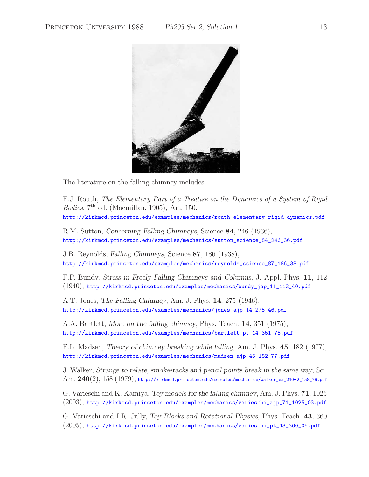

The literature on the falling chimney includes:

E.J. Routh, *The Elementary Part of a Treatise on the Dynamics of a System of Rigid Bodies*, 7th ed. (Macmillan, 1905), Art. 150, http://kirkmcd.princeton.edu/examples/mechanics/routh\_elementary\_rigid\_dynamics.pdf

R.M. Sutton, *Concerning Falling Chimneys*, Science **84**, 246 (1936), http://kirkmcd.princeton.edu/examples/mechanics/sutton\_science\_84\_246\_36.pdf

J.B. Reynolds, *Falling Chimneys*, Science **87**, 186 (1938), http://kirkmcd.princeton.edu/examples/mechanics/reynolds\_science\_87\_186\_38.pdf

F.P. Bundy, *Stress in Freely Falling Chimneys and Columns*, J. Appl. Phys. **11**, 112 (1940), http://kirkmcd.princeton.edu/examples/mechanics/bundy\_jap\_11\_112\_40.pdf

A.T. Jones, *The Falling Chimney*, Am. J. Phys. **14**, 275 (1946), http://kirkmcd.princeton.edu/examples/mechanics/jones\_ajp\_14\_275\_46.pdf

A.A. Bartlett, *More on the falling chimney*, Phys. Teach. **14**, 351 (1975), http://kirkmcd.princeton.edu/examples/mechanics/bartlett\_pt\_14\_351\_75.pdf

E.L. Madsen, *Theory of chimney breaking while falling*, Am. J. Phys. **45**, 182 (1977), http://kirkmcd.princeton.edu/examples/mechanics/madsen\_ajp\_45\_182\_77.pdf

J. Walker, *Strange to relate, smokestacks and pencil points break in the same way*, Sci. Am. **240**(2), 158 (1979), http://kirkmcd.princeton.edu/examples/mechanics/walker\_sa\_240-2\_158\_79.pdf

G. Varieschi and K. Kamiya, *Toy models for the falling chimney*, Am. J. Phys. **71**, 1025 (2003), http://kirkmcd.princeton.edu/examples/mechanics/varieschi\_ajp\_71\_1025\_03.pdf

G. Varieschi and I.R. Jully, *Toy Blocks and Rotational Physics*, Phys. Teach. **43**, 360 (2005), http://kirkmcd.princeton.edu/examples/mechanics/varieschi\_pt\_43\_360\_05.pdf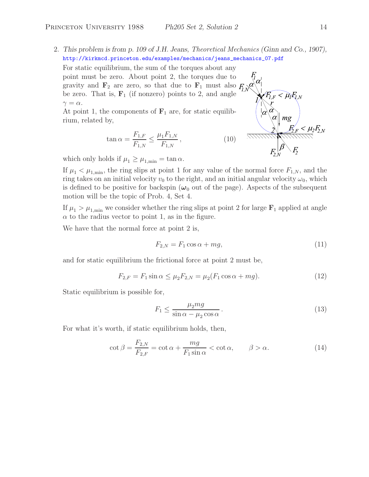2. *This problem is from p. 109 of J.H. Jeans, Theoretical Mechanics (Ginn and Co., 1907),* http://kirkmcd.princeton.edu/examples/mechanics/jeans\_mechanics\_07.pdf

For static equilibrium, the sum of the torques about any point must be zero. About point 2, the torques due to gravity and  $\mathbf{F}_2$  are zero, so that due to  $\mathbf{F}_1$  must also  $F_i$ be zero. That is,  $\mathbf{F}_1$  (if nonzero) points to 2, and angle  $\gamma = \alpha$ .

At point 1, the components of  $\mathbf{F}_1$  are, for static equilibrium, related by,

$$
\tan \alpha = \frac{F_{1,F}}{F_{1,N}} \le \frac{\mu_1 F_{1,N}}{F_{1,N}},\tag{10}
$$

which only holds if  $\mu_1 \geq \mu_{1,\text{min}} = \tan \alpha$ .

If  $\mu_1 < \mu_{1,\text{min}}$ , the ring slips at point 1 for any value of the normal force  $F_{1,N}$ , and the ring takes on an initial velocity  $v_0$  to the right, and an initial angular velocity  $\omega_0$ , which is defined to be positive for backspin  $(\omega_0)$  out of the page). Aspects of the subsequent motion will be the topic of Prob. 4, Set 4.

If  $\mu_1 > \mu_{1,\text{min}}$  we consider whether the ring slips at point 2 for large  $\mathbf{F}_1$  applied at angle  $\alpha$  to the radius vector to point 1, as in the figure.

We have that the normal force at point 2 is,

$$
F_{2,N} = F_1 \cos \alpha + mg,\tag{11}
$$

and for static equilibrium the frictional force at point 2 must be,

$$
F_{2,F} = F_1 \sin \alpha \le \mu_2 F_{2,N} = \mu_2 (F_1 \cos \alpha + mg). \tag{12}
$$

Static equilibrium is possible for,

$$
F_1 \le \frac{\mu_2 mg}{\sin \alpha - \mu_2 \cos \alpha}.
$$
\n(13)

For what it's worth, if static equilibrium holds, then,

$$
\cot \beta = \frac{F_{2,N}}{F_{2,F}} = \cot \alpha + \frac{mg}{F_1 \sin \alpha} < \cot \alpha, \qquad \beta > \alpha. \tag{14}
$$

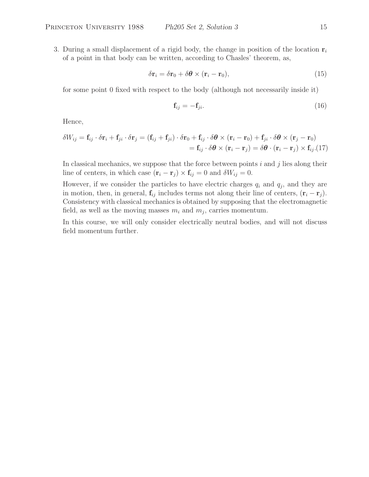3. During a small displacement of a rigid body, the change in position of the location  $\mathbf{r}_i$ of a point in that body can be written, according to Chasles' theorem, as,

$$
\delta \mathbf{r}_i = \delta \mathbf{r}_0 + \delta \boldsymbol{\theta} \times (\mathbf{r}_i - \mathbf{r}_0), \tag{15}
$$

for some point 0 fixed with respect to the body (although not necessarily inside it)

$$
\mathbf{f}_{ij} = -\mathbf{f}_{ji}.\tag{16}
$$

Hence,

$$
\delta W_{ij} = \mathbf{f}_{ij} \cdot \delta \mathbf{r}_i + \mathbf{f}_{ji} \cdot \delta \mathbf{r}_j = (\mathbf{f}_{ij} + \mathbf{f}_{ji}) \cdot \delta \mathbf{r}_0 + \mathbf{f}_{ij} \cdot \delta \boldsymbol{\theta} \times (\mathbf{r}_i - \mathbf{r}_0) + \mathbf{f}_{ji} \cdot \delta \boldsymbol{\theta} \times (\mathbf{r}_j - \mathbf{r}_0)
$$
  
=  $\mathbf{f}_{ij} \cdot \delta \boldsymbol{\theta} \times (\mathbf{r}_i - \mathbf{r}_j) = \delta \boldsymbol{\theta} \cdot (\mathbf{r}_i - \mathbf{r}_j) \times \mathbf{f}_{ij}$ . (17)

In classical mechanics, we suppose that the force between points  $i$  and  $j$  lies along their line of centers, in which case  $(\mathbf{r}_i - \mathbf{r}_j) \times \mathbf{f}_{ij} = 0$  and  $\delta W_{ij} = 0$ .

However, if we consider the particles to have electric charges  $q_i$  and  $q_j$ , and they are in motion, then, in general,  $\mathbf{f}_{ij}$  includes terms not along their line of centers,  $(\mathbf{r}_i - \mathbf{r}_j)$ . Consistency with classical mechanics is obtained by supposing that the electromagnetic field, as well as the moving masses  $m_i$  and  $m_j$ , carries momentum.

In this course, we will only consider electrically neutral bodies, and will not discuss field momentum further.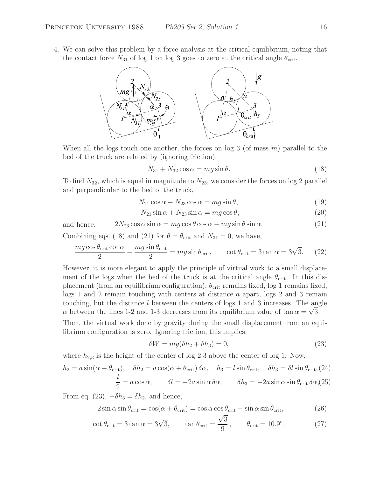4. We can solve this problem by a force analysis at the critical equilibrium, noting that the contact force  $N_{31}$  of log 1 on log 3 goes to zero at the critical angle  $\theta_{\rm crit}$ .



When all the logs touch one another, the forces on log 3 (of mass  $m$ ) parallel to the bed of the truck are related by (ignoring friction),

$$
N_{31} + N_{32} \cos \alpha = mg \sin \theta. \tag{18}
$$

To find  $N_{32}$ , which is equal in magnitude to  $N_{23}$ , we consider the forces on log 2 parallel and perpendicular to the bed of the truck,

$$
N_{21}\cos\alpha - N_{23}\cos\alpha = mg\sin\theta,\tag{19}
$$

$$
N_{21}\sin\alpha + N_{23}\sin\alpha = mg\cos\theta,\tag{20}
$$

and hence,  $2N_{23} \cos \alpha \sin \alpha = mg \cos \theta \cos \alpha - mg \sin \theta \sin \alpha.$  (21)

Combining eqs. (18) and (21) for  $\theta = \theta_{\rm crit}$  and  $N_{31} = 0$ , we have,

$$
\frac{mg\cos\theta_{\rm crit}\cot\alpha}{2} - \frac{mg\sin\theta_{\rm crit}}{2} = mg\sin\theta_{\rm crit}, \qquad \cot\theta_{\rm crit} = 3\tan\alpha = 3\sqrt{3}.\tag{22}
$$

However, it is more elegant to apply the principle of virtual work to a small displacement of the logs when the bed of the truck is at the critical angle  $\theta_{\rm crit}$ . In this displacement (from an equilibrium configuration),  $\theta_{\rm crit}$  remains fixed, log 1 remains fixed, logs 1 and 2 remain touching with centers at distance a apart, logs 2 and 3 remain touching, but the distance l between the centers of logs 1 and 3 increases. The angle  $\alpha$  between the lines 1-2 and 1-3 decreases from its equilibrium value of tan  $\alpha = \sqrt{3}$ .

Then, the virtual work done by gravity during the small displacement from an equilibrium configuration is zero. Ignoring friction, this implies,

$$
\delta W = mg(\delta h_2 + \delta h_3) = 0,\t\t(23)
$$

where  $h_{2,3}$  is the height of the center of log 2,3 above the center of log 1. Now,

$$
h_2 = a \sin(\alpha + \theta_{\text{crit}}), \quad \delta h_2 = a \cos(\alpha + \theta_{\text{crit}}) \delta \alpha, \quad h_3 = l \sin \theta_{\text{crit}}, \quad \delta h_3 = \delta l \sin \theta_{\text{crit}}, (24)
$$

$$
\frac{l}{2} = a \cos \alpha, \qquad \delta l = -2a \sin \alpha \delta \alpha, \qquad \delta h_3 = -2a \sin \alpha \sin \theta_{\text{crit}} \delta \alpha, (25)
$$

From eq. (23),  $-\delta h_3 = \delta h_2$ , and hence,

$$
2\sin\alpha\sin\theta_{\rm crit} = \cos(\alpha + \theta_{\rm crit}) = \cos\alpha\cos\theta_{\rm crit} - \sin\alpha\sin\theta_{\rm crit},\tag{26}
$$

$$
\cot \theta_{\rm crit} = 3 \tan \alpha = 3\sqrt{3}, \qquad \tan \theta_{\rm crit} = \frac{\sqrt{3}}{9}, \qquad \theta_{\rm crit} = 10.9^{\circ}.
$$
 (27)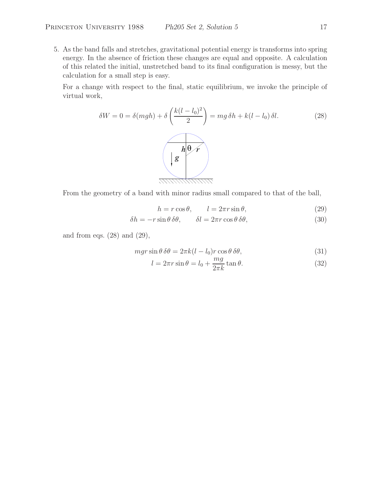5. As the band falls and stretches, gravitational potential energy is transforms into spring energy. In the absence of friction these changes are equal and opposite. A calculation of this related the initial, unstretched band to its final configuration is messy, but the calculation for a small step is easy.

For a change with respect to the final, static equilibrium, we invoke the principle of virtual work,

$$
\delta W = 0 = \delta(mgh) + \delta \left( \frac{k(l - l_0)^2}{2} \right) = mg \delta h + k(l - l_0) \delta l.
$$
 (28)  

$$
\left( \frac{h \Theta r}{g} \right)
$$

From the geometry of a band with minor radius small compared to that of the ball,

$$
h = r \cos \theta, \qquad l = 2\pi r \sin \theta,\tag{29}
$$

$$
\delta h = -r \sin \theta \, \delta \theta, \qquad \delta l = 2\pi r \cos \theta \, \delta \theta,\tag{30}
$$

and from eqs.  $(28)$  and  $(29)$ ,

$$
mgr\sin\theta\,\delta\theta = 2\pi k(l - l_0)r\cos\theta\,\delta\theta,\tag{31}
$$

$$
l = 2\pi r \sin \theta = l_0 + \frac{mg}{2\pi k} \tan \theta.
$$
 (32)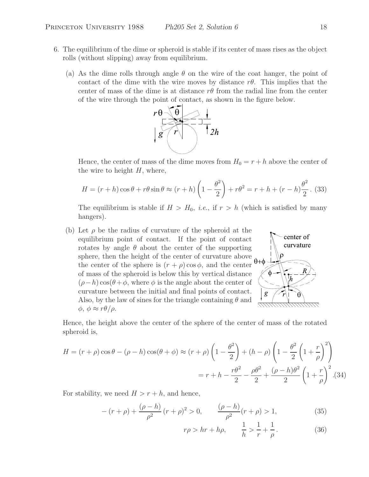- 6. The equilibrium of the dime or spheroid is stable if its center of mass rises as the object rolls (without slipping) away from equilibrium.
	- (a) As the dime rolls through angle  $\theta$  on the wire of the coat hanger, the point of contact of the dime with the wire moves by distance  $r\theta$ . This implies that the center of mass of the dime is at distance  $r\theta$  from the radial line from the center of the wire through the point of contact, as shown in the figure below.



Hence, the center of mass of the dime moves from  $H_0 = r + h$  above the center of the wire to height  $H$ , where,

$$
H = (r+h)\cos\theta + r\theta\sin\theta \approx (r+h)\left(1 - \frac{\theta^2}{2}\right) + r\theta^2 = r+h + (r-h)\frac{\theta^2}{2}.
$$
 (33)

The equilibrium is stable if  $H > H_0$ , *i.e.*, if  $r > h$  (which is satisfied by many hangers).

(b) Let  $\rho$  be the radius of curvature of the spheroid at the equilibrium point of contact. If the point of contact rotates by angle  $\theta$  about the center of the supporting sphere, then the height of the center of curvature above the center of the sphere is  $(r + \rho)\cos\phi$ , and the center of mass of the spheroid is below this by vertical distance  $(\rho-h)\cos(\theta+\phi)$ , where  $\phi$  is the angle about the center of curvature between the initial and final points of contact. Also, by the law of sines for the triangle containing  $\theta$  and  $\phi$ ,  $\phi \approx r\theta/\rho$ .



Hence, the height above the center of the sphere of the center of mass of the rotated spheroid is,

$$
H = (r + \rho)\cos\theta - (\rho - h)\cos(\theta + \phi) \approx (r + \rho)\left(1 - \frac{\theta^2}{2}\right) + (h - \rho)\left(1 - \frac{\theta^2}{2}\left(1 + \frac{r}{\rho}\right)^2\right)
$$

$$
= r + h - \frac{r\theta^2}{2} - \frac{\rho\theta^2}{2} + \frac{(\rho - h)\theta^2}{2}\left(1 + \frac{r}{\rho}\right)^2.
$$
(34)

For stability, we need  $H>r + h$ , and hence,

$$
-(r+\rho) + \frac{(\rho-h)}{\rho^2}(r+\rho)^2 > 0, \qquad \frac{(\rho-h)}{\rho^2}(r+\rho) > 1,
$$
 (35)

$$
r\rho > hr + h\rho, \qquad \frac{1}{h} > \frac{1}{r} + \frac{1}{\rho}.
$$
 (36)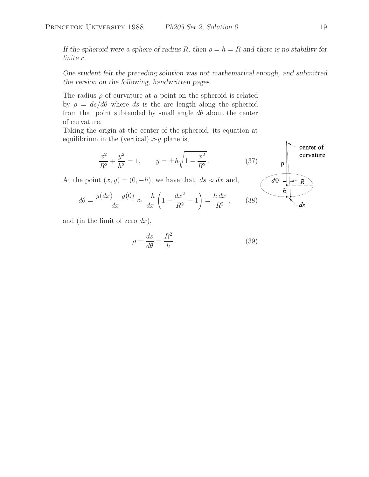*If the spheroid were a sphere of radius* R, then  $\rho = h = R$  and there is no stability for *finite* r*.*

*One student felt the preceding solution was not mathematical enough, and submitted the version on the following, handwritten pages.*

The radius  $\rho$  of curvature at a point on the spheroid is related by  $\rho = ds/d\theta$  where ds is the arc length along the spheroid from that point subtended by small angle  $d\theta$  about the center of curvature.

Taking the origin at the center of the spheroid, its equation at equilibrium in the (vertical)  $x-y$  plane is,

$$
\frac{x^2}{R^2} + \frac{y^2}{h^2} = 1, \qquad y = \pm h\sqrt{1 - \frac{x^2}{R^2}}.
$$
\n  
\n**1** (37)  
\n**2** (37)  
\n**2** (38)  
\n**3** (39)  
\n**3** (39)  
\n**4** (30)  
\n**4** (30)  
\n**4** (31)  
\n**4** (34)  
\n**4** (35)  
\n**4** (36)  
\n**4** (37)  
\n**4** (39)  
\n**4** (30)  
\n**4** (31)  
\n**4** (32)  
\n**4** (34)  
\n**4** (35)  
\n**4** (36)  
\n**4** (37)  
\n**4** (39)  
\n**4** (30)  
\n**4** (31)  
\n**4** (34)  
\n**4** (35)  
\n**4** (36)  
\n**4** (37)  
\n**4** (39)  
\n**4** (30)  
\n**4** (31)  
\n**4** (31)  
\n**4** (31)  
\n**4** (32)  
\n**4** (33)  
\n**4** (34)  
\n**4** (35)  
\n**4** (36)  
\n**4** (37)  
\n**4** (39)  
\n**4** (30)  
\n**4** (31)  
\n**4** (30)  
\n**4** (31)  
\n**4** (31)  
\n**4** (32)  
\n**4** (34)  
\n**4** (35)  
\n**4** (36)  
\n**4** (37)  
\n**4** (39)  
\n**4** (30)  
\n**4** (31)  
\n**4** (31)  
\n**4** (31)  
\n

At the  $p$ 

$$
d\theta = \frac{y(dx) - y(0)}{dx} \approx \frac{-h}{dx} \left( 1 - \frac{dx^2}{R^2} - 1 \right) = \frac{h dx}{R^2}, \qquad (38)
$$

and (in the limit of zero  $dx$ ),

$$
\rho = \frac{ds}{d\theta} = \frac{R^2}{h}.
$$
\n(39)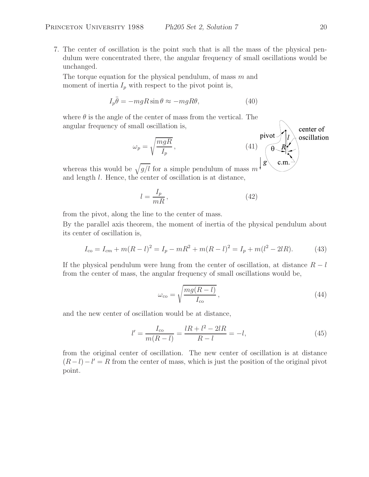7. The center of oscillation is the point such that is all the mass of the physical pendulum were concentrated there, the angular frequency of small oscillations would be unchanged.

The torque equation for the physical pendulum, of mass m and moment of inertia  $I_p$  with respect to the pivot point is,

$$
I_p \ddot{\theta} = -mgR\sin\theta \approx -mgR\theta,\tag{40}
$$

where  $\theta$  is the angle of the center of mass from the vertical. The angular frequency of small oscillation is,

$$
\omega_p = \sqrt{\frac{mgR}{I_p}},
$$
\n(41)\n
$$
\omega_p = \sqrt{\frac{m gR}{I_p}},
$$
\n(42)\n
$$
\omega_p = \sqrt{\frac{g}{I_p}}.
$$
\n(43)\n
$$
\omega_p = \sqrt{\frac{g}{I_p}}.
$$
\n(44)

whereas this would be  $\sqrt{g/l}$  for a simple pendulum of mass m and length l. Hence, the center of oscillation is at distance,

$$
l = \frac{I_p}{mR},\tag{42}
$$

from the pivot, along the line to the center of mass.

By the parallel axis theorem, the moment of inertia of the physical pendulum about its center of oscillation is,

$$
I_{\rm co} = I_{\rm cm} + m(R - l)^2 = I_p - mR^2 + m(R - l)^2 = I_p + m(l^2 - 2lR). \tag{43}
$$

If the physical pendulum were hung from the center of oscillation, at distance  $R - l$ from the center of mass, the angular frequency of small oscillations would be,

$$
\omega_{\rm co} = \sqrt{\frac{mg(R-l)}{I_{\rm co}}},\tag{44}
$$

and the new center of oscillation would be at distance,

$$
l' = \frac{I_{\text{co}}}{m(R-l)} = \frac{lR + l^2 - 2lR}{R - l} = -l,\tag{45}
$$

from the original center of oscillation. The new center of oscillation is at distance  $(R - l) - l' = R$  from the center of mass, which is just the position of the original pivot point.

center of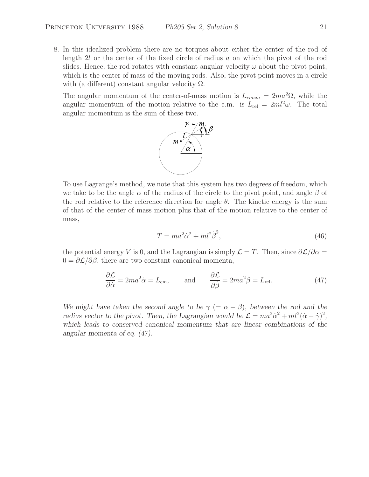8. In this idealized problem there are no torques about either the center of the rod of length 2l or the center of the fixed circle of radius a on which the pivot of the rod slides. Hence, the rod rotates with constant angular velocity  $\omega$  about the pivot point, which is the center of mass of the moving rods. Also, the pivot point moves in a circle with (a different) constant angular velocity  $\Omega$ .

The angular momentum of the center-of-mass motion is  $L_{rmem} = 2ma^2\Omega$ , while the angular momentum of the motion relative to the c.m. is  $L_{rel} = 2ml^2\omega$ . The total angular momentum is the sum of these two.



To use Lagrange's method, we note that this system has two degrees of freedom, which we take to be the angle  $\alpha$  of the radius of the circle to the pivot point, and angle  $\beta$  of the rod relative to the reference direction for angle  $\theta$ . The kinetic energy is the sum of that of the center of mass motion plus that of the motion relative to the center of mass,

$$
T = ma^2\dot{\alpha}^2 + ml^2\dot{\beta}^2,\tag{46}
$$

the potential energy V is 0, and the Lagrangian is simply  $\mathcal{L} = T$ . Then, since  $\partial \mathcal{L}/\partial \alpha =$  $0 = \partial \mathcal{L}/\partial \beta$ , there are two constant canonical momenta,

$$
\frac{\partial \mathcal{L}}{\partial \dot{\alpha}} = 2ma^2 \dot{\alpha} = L_{\text{cm}}, \quad \text{and} \quad \frac{\partial \mathcal{L}}{\partial \dot{\beta}} = 2ma^2 \dot{\beta} = L_{\text{rel}}.
$$
 (47)

*We might have taken the second angle to be*  $\gamma$  (=  $\alpha - \beta$ )*, between the rod and the radius vector to the pivot. Then, the Lagrangian would be*  $\mathcal{L} = ma^2\dot{\alpha}^2 + ml^2(\dot{\alpha} - \dot{\gamma})^2$ , *which leads to conserved canonical momentum that are linear combinations of the angular momenta of eq. (47).*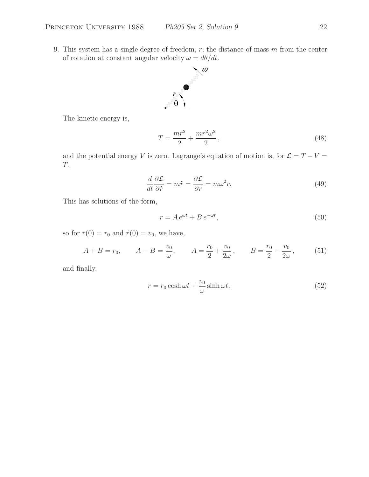9. This system has a single degree of freedom,  $r$ , the distance of mass  $m$  from the center of rotation at constant angular velocity  $\omega = d\theta/dt$ .



The kinetic energy is,

$$
T = \frac{m\dot{r}^2}{2} + \frac{mr^2\omega^2}{2},
$$
\n(48)

and the potential energy V is zero. Lagrange's equation of motion is, for  $\mathcal{L} = T - V =$  $\cal T,$ 

$$
\frac{d}{dt}\frac{\partial \mathcal{L}}{\partial \dot{r}} = m\ddot{r} = \frac{\partial \mathcal{L}}{\partial r} = m\omega^2 r.
$$
\n(49)

This has solutions of the form,

$$
r = Ae^{\omega t} + Be^{-\omega t},\tag{50}
$$

so for  $r(0) = r_0$  and  $\dot{r}(0) = v_0$ , we have,

$$
A + B = r_0,
$$
  $A - B = \frac{v_0}{\omega},$   $A = \frac{r_0}{2} + \frac{v_0}{2\omega},$   $B = \frac{r_0}{2} - \frac{v_0}{2\omega},$  (51)

and finally,

$$
r = r_0 \cosh \omega t + \frac{v_0}{\omega} \sinh \omega t.
$$
 (52)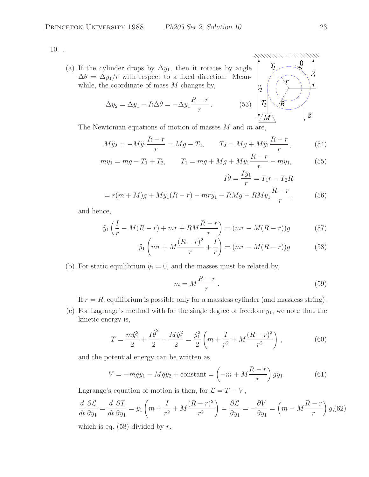10. .

(a) If the cylinder drops by  $\Delta y_1$ , then it rotates by angle  $\Delta\theta = \Delta y_1/r$  with respect to a fixed direction. Meanwhile, the coordinate of mass  $M$  changes by,

The coordinate of mass *M* changes by,  
\n
$$
\Delta y_2 = \Delta y_1 - R\Delta\theta = -\Delta y_1 \frac{R-r}{r}.
$$
\n(53) 
$$
\begin{bmatrix} \frac{r}{2} \\ \frac{R}{M} \end{bmatrix}
$$

The Newtonian equations of motion of masses  $M$  and  $m$  are,

$$
M\ddot{y}_2 = -M\ddot{y}_1 \frac{R-r}{r} = Mg - T_2, \qquad T_2 = Mg + M\ddot{y}_1 \frac{R-r}{r}, \tag{54}
$$

$$
m\ddot{y}_1 = mg - T_1 + T_2, \qquad T_1 = mg + Mg + M\ddot{y}_1 \frac{R - r}{r} - m\ddot{y}_1,\tag{55}
$$

$$
I\ddot{\theta} = \frac{I y_1}{r} = T_1 r - T_2 R
$$

$$
= r(m+M)g + M\ddot{y}_1(R-r) - m r \ddot{y}_1 - RMg - RM\ddot{y}_1 \frac{R-r}{r}, \qquad (56)
$$

and hence,

$$
\ddot{y}_1 \left( \frac{I}{r} - M(R - r) + mr + RM \frac{R - r}{r} \right) = (mr - M(R - r))g \tag{57}
$$

$$
\ddot{y}_1 \left( mr + M \frac{(R-r)^2}{r} + \frac{I}{r} \right) = (mr - M(R-r))g \tag{58}
$$

(b) For static equilibrium  $\ddot{y}_1 = 0$ , and the masses must be related by,

$$
m = M\frac{R - r}{r}.\tag{59}
$$

If  $r = R$ , equilibrium is possible only for a massless cylinder (and massless string).

(c) For Lagrange's method with for the single degree of freedom  $y_1$ , we note that the kinetic energy is,

$$
T = \frac{m\dot{y}_1^2}{2} + \frac{I\dot{\theta}^2}{2} + \frac{M\dot{y}_2^2}{2} = \frac{\dot{y}_1^2}{2} \left( m + \frac{I}{r^2} + M\frac{(R-r)^2}{r^2} \right),\tag{60}
$$

and the potential energy can be written as,

$$
V = -mgy_1 - Mgy_2 + \text{constant} = \left(-m + M\frac{R-r}{r}\right)gy_1.
$$
 (61)

Lagrange's equation of motion is then, for  $\mathcal{L} = T - V$ ,

$$
\frac{d}{dt}\frac{\partial \mathcal{L}}{\partial \dot{y}_1} = \frac{d}{dt}\frac{\partial T}{\partial \dot{y}_1} = \ddot{y}_1 \left( m + \frac{I}{r^2} + M\frac{(R-r)^2}{r^2} \right) = \frac{\partial \mathcal{L}}{\partial y_1} = -\frac{\partial V}{\partial y_1} = \left( m - M\frac{R-r}{r} \right) g,(62)
$$

which is eq.  $(58)$  divided by r.



g

*\\\\\\\\\\\\\\\\\\\\\\\\\\\\\\*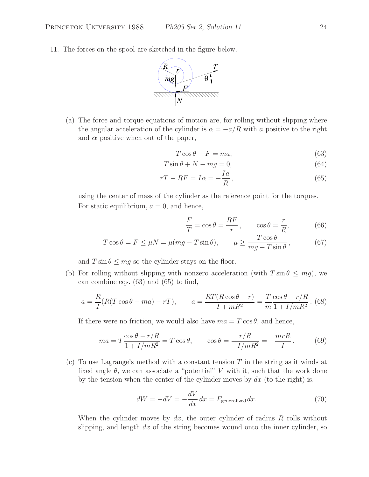11. The forces on the spool are sketched in the figure below.



(a) The force and torque equations of motion are, for rolling without slipping where the angular acceleration of the cylinder is  $\alpha = -a/R$  with a positive to the right and  $\alpha$  positive when out of the paper,

$$
T\cos\theta - F = ma,\t\t(63)
$$

$$
T\sin\theta + N - mg = 0,\t(64)
$$

$$
rT - RF = I\alpha = -\frac{Ia}{R},\tag{65}
$$

using the center of mass of the cylinder as the reference point for the torques. For static equilibrium,  $a = 0$ , and hence,

$$
\frac{F}{T} = \cos \theta = \frac{RF}{r}, \qquad \cos \theta = \frac{r}{R}, \tag{66}
$$

$$
T\cos\theta = F \le \mu N = \mu(mg - T\sin\theta), \qquad \mu \ge \frac{T\cos\theta}{mg - T\sin\theta}, \tag{67}
$$

and  $T \sin \theta \le mg$  so the cylinder stays on the floor.

(b) For rolling without slipping with nonzero acceleration (with  $T \sin \theta \leq m g$ ), we can combine eqs. (63) and (65) to find,

$$
a = \frac{R}{I}(R(T\cos\theta - ma) - rT), \qquad a = \frac{RT(R\cos\theta - r)}{I + mR^2} = \frac{T\cos\theta - r/R}{m(1 + I/mR^2)}.
$$
 (68)

If there were no friction, we would also have  $ma = T \cos \theta$ , and hence,

$$
ma = T \frac{\cos \theta - r/R}{1 + I/mR^2} = T \cos \theta, \qquad \cos \theta = \frac{r/R}{-I/mR^2} = -\frac{mrR}{I}.
$$
 (69)

(c) To use Lagrange's method with a constant tension  $T$  in the string as it winds at fixed angle  $\theta$ , we can associate a "potential" V with it, such that the work done by the tension when the center of the cylinder moves by  $dx$  (to the right) is,

$$
dW = -dV = -\frac{dV}{dx}dx = F_{\text{generalized}}dx.
$$
\n(70)

When the cylinder moves by  $dx$ , the outer cylinder of radius R rolls without slipping, and length  $dx$  of the string becomes wound onto the inner cylinder, so